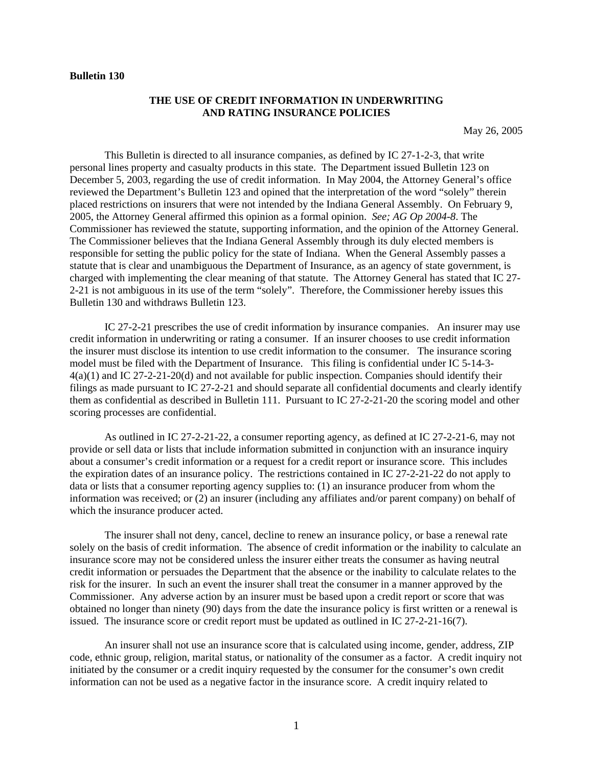## **Bulletin 130**

## **THE USE OF CREDIT INFORMATION IN UNDERWRITING AND RATING INSURANCE POLICIES**

May 26, 2005

This Bulletin is directed to all insurance companies, as defined by IC 27-1-2-3, that write personal lines property and casualty products in this state. The Department issued Bulletin 123 on December 5, 2003, regarding the use of credit information. In May 2004, the Attorney General's office reviewed the Department's Bulletin 123 and opined that the interpretation of the word "solely" therein placed restrictions on insurers that were not intended by the Indiana General Assembly. On February 9, 2005, the Attorney General affirmed this opinion as a formal opinion. *See; AG Op 2004-8*. The Commissioner has reviewed the statute, supporting information, and the opinion of the Attorney General. The Commissioner believes that the Indiana General Assembly through its duly elected members is responsible for setting the public policy for the state of Indiana. When the General Assembly passes a statute that is clear and unambiguous the Department of Insurance, as an agency of state government, is charged with implementing the clear meaning of that statute. The Attorney General has stated that IC 27- 2-21 is not ambiguous in its use of the term "solely". Therefore, the Commissioner hereby issues this Bulletin 130 and withdraws Bulletin 123.

IC 27-2-21 prescribes the use of credit information by insurance companies. An insurer may use credit information in underwriting or rating a consumer. If an insurer chooses to use credit information the insurer must disclose its intention to use credit information to the consumer. The insurance scoring model must be filed with the Department of Insurance. This filing is confidential under IC 5-14-3- 4(a)(1) and IC 27-2-21-20(d) and not available for public inspection. Companies should identify their filings as made pursuant to IC 27-2-21 and should separate all confidential documents and clearly identify them as confidential as described in Bulletin 111. Pursuant to IC 27-2-21-20 the scoring model and other scoring processes are confidential.

As outlined in IC 27-2-21-22, a consumer reporting agency, as defined at IC 27-2-21-6, may not provide or sell data or lists that include information submitted in conjunction with an insurance inquiry about a consumer's credit information or a request for a credit report or insurance score. This includes the expiration dates of an insurance policy. The restrictions contained in IC 27-2-21-22 do not apply to data or lists that a consumer reporting agency supplies to: (1) an insurance producer from whom the information was received; or (2) an insurer (including any affiliates and/or parent company) on behalf of which the insurance producer acted.

The insurer shall not deny, cancel, decline to renew an insurance policy, or base a renewal rate solely on the basis of credit information. The absence of credit information or the inability to calculate an insurance score may not be considered unless the insurer either treats the consumer as having neutral credit information or persuades the Department that the absence or the inability to calculate relates to the risk for the insurer. In such an event the insurer shall treat the consumer in a manner approved by the Commissioner. Any adverse action by an insurer must be based upon a credit report or score that was obtained no longer than ninety (90) days from the date the insurance policy is first written or a renewal is issued. The insurance score or credit report must be updated as outlined in IC 27-2-21-16(7).

An insurer shall not use an insurance score that is calculated using income, gender, address, ZIP code, ethnic group, religion, marital status, or nationality of the consumer as a factor. A credit inquiry not initiated by the consumer or a credit inquiry requested by the consumer for the consumer's own credit information can not be used as a negative factor in the insurance score. A credit inquiry related to